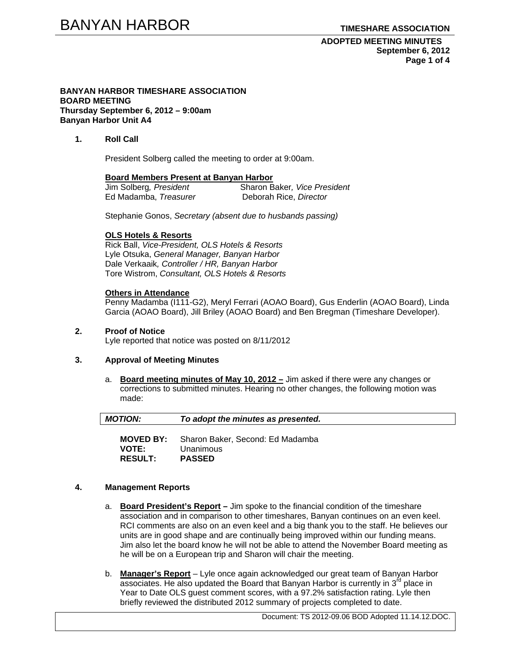**ADOPTED MEETING MINUTES September 6, 2012 Page 1 of 4** 

#### **BANYAN HARBOR TIMESHARE ASSOCIATION BOARD MEETING Thursday September 6, 2012 – 9:00am Banyan Harbor Unit A4**

## **1. Roll Call**

President Solberg called the meeting to order at 9:00am.

#### **Board Members Present at Banyan Harbor**

| Jim Solberg, President | Sharon Baker, Vice President |
|------------------------|------------------------------|
| Ed Madamba, Treasurer  | Deborah Rice, Director       |

Stephanie Gonos, *Secretary (absent due to husbands passing)* 

### **OLS Hotels & Resorts**

Rick Ball, *Vice-President, OLS Hotels & Resorts* Lyle Otsuka, *General Manager, Banyan Harbor*  Dale Verkaaik*, Controller / HR, Banyan Harbor*  Tore Wistrom, *Consultant, OLS Hotels & Resorts* 

### **Others in Attendance**

Penny Madamba (I111-G2), Meryl Ferrari (AOAO Board), Gus Enderlin (AOAO Board), Linda Garcia (AOAO Board), Jill Briley (AOAO Board) and Ben Bregman (Timeshare Developer).

## **2. Proof of Notice**

Lyle reported that notice was posted on 8/11/2012

## **3. Approval of Meeting Minutes**

a. **Board meeting minutes of May 10, 2012 –** Jim asked if there were any changes or corrections to submitted minutes. Hearing no other changes, the following motion was made:

| <b>MOTION:</b> | To adopt the minutes as presented. |  |
|----------------|------------------------------------|--|
|                |                                    |  |

**MOVED BY:** Sharon Baker, Second: Ed Madamba **VOTE:** Unanimous **RESULT: PASSED** 

# **4. Management Reports**

- a. **Board President's Report** Jim spoke to the financial condition of the timeshare association and in comparison to other timeshares, Banyan continues on an even keel. RCI comments are also on an even keel and a big thank you to the staff. He believes our units are in good shape and are continually being improved within our funding means. Jim also let the board know he will not be able to attend the November Board meeting as he will be on a European trip and Sharon will chair the meeting.
- b. **Manager's Report** Lyle once again acknowledged our great team of Banyan Harbor associates. He also updated the Board that Banyan Harbor is currently in  $3<sup>rd</sup>$  place in Year to Date OLS guest comment scores, with a 97.2% satisfaction rating. Lyle then briefly reviewed the distributed 2012 summary of projects completed to date.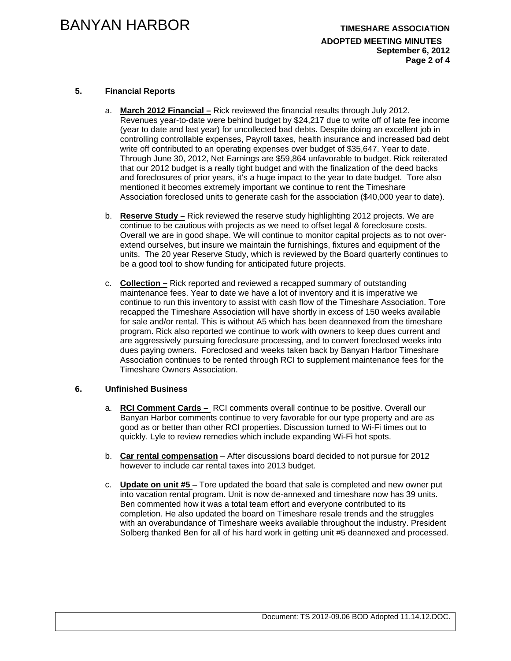## **ADOPTED MEETING MINUTES September 6, 2012 Page 2 of 4**

# **5. Financial Reports**

- a. **March 2012 Financial –** Rick reviewed the financial results through July 2012. Revenues year-to-date were behind budget by \$24,217 due to write off of late fee income (year to date and last year) for uncollected bad debts. Despite doing an excellent job in controlling controllable expenses, Payroll taxes, health insurance and increased bad debt write off contributed to an operating expenses over budget of \$35,647. Year to date. Through June 30, 2012, Net Earnings are \$59,864 unfavorable to budget. Rick reiterated that our 2012 budget is a really tight budget and with the finalization of the deed backs and foreclosures of prior years, it's a huge impact to the year to date budget. Tore also mentioned it becomes extremely important we continue to rent the Timeshare Association foreclosed units to generate cash for the association (\$40,000 year to date).
- b. **Reserve Study –** Rick reviewed the reserve study highlighting 2012 projects. We are continue to be cautious with projects as we need to offset legal & foreclosure costs. Overall we are in good shape. We will continue to monitor capital projects as to not overextend ourselves, but insure we maintain the furnishings, fixtures and equipment of the units. The 20 year Reserve Study, which is reviewed by the Board quarterly continues to be a good tool to show funding for anticipated future projects.
- c. **Collection –** Rick reported and reviewed a recapped summary of outstanding maintenance fees. Year to date we have a lot of inventory and it is imperative we continue to run this inventory to assist with cash flow of the Timeshare Association. Tore recapped the Timeshare Association will have shortly in excess of 150 weeks available for sale and/or rental. This is without A5 which has been deannexed from the timeshare program. Rick also reported we continue to work with owners to keep dues current and are aggressively pursuing foreclosure processing, and to convert foreclosed weeks into dues paying owners. Foreclosed and weeks taken back by Banyan Harbor Timeshare Association continues to be rented through RCI to supplement maintenance fees for the Timeshare Owners Association.

### **6. Unfinished Business**

- a. **RCI Comment Cards** RCI comments overall continue to be positive. Overall our Banyan Harbor comments continue to very favorable for our type property and are as good as or better than other RCI properties. Discussion turned to Wi-Fi times out to quickly. Lyle to review remedies which include expanding Wi-Fi hot spots.
- b. **Car rental compensation** After discussions board decided to not pursue for 2012 however to include car rental taxes into 2013 budget.
- c. **Update on unit #5**  Tore updated the board that sale is completed and new owner put into vacation rental program. Unit is now de-annexed and timeshare now has 39 units. Ben commented how it was a total team effort and everyone contributed to its completion. He also updated the board on Timeshare resale trends and the struggles with an overabundance of Timeshare weeks available throughout the industry. President Solberg thanked Ben for all of his hard work in getting unit #5 deannexed and processed.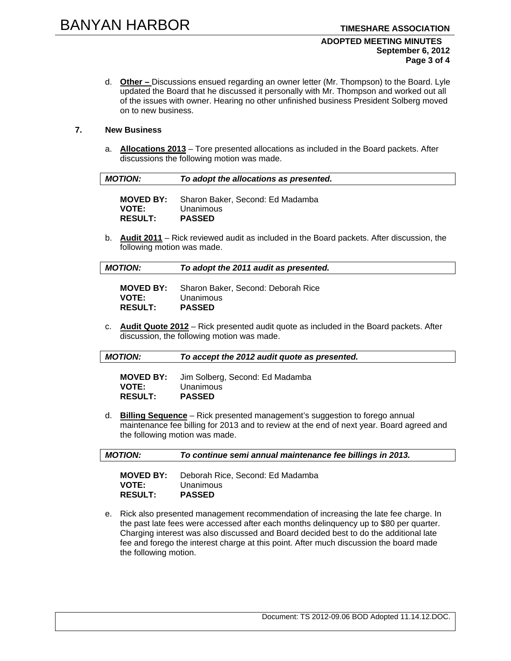#### **ADOPTED MEETING MINUTES September 6, 2012 Page 3 of 4**

d. **Other –** Discussions ensued regarding an owner letter (Mr. Thompson) to the Board. Lyle updated the Board that he discussed it personally with Mr. Thompson and worked out all of the issues with owner. Hearing no other unfinished business President Solberg moved on to new business.

# **7. New Business**

a. **Allocations 2013** – Tore presented allocations as included in the Board packets. After discussions the following motion was made.

| <b>MOTION:</b>                 | To adopt the allocations as presented.                                          |
|--------------------------------|---------------------------------------------------------------------------------|
| <b>VOTE:</b><br><b>RESULT:</b> | <b>MOVED BY:</b> Sharon Baker, Second: Ed Madamba<br>Unanimous<br><b>PASSED</b> |

b. **Audit 2011** – Rick reviewed audit as included in the Board packets. After discussion, the following motion was made.

| <b>MOTION:</b> | To adopt the 2011 audit as presented. |
|----------------|---------------------------------------|
|                |                                       |

| <b>MOVED BY:</b> | Sharon Baker, Second: Deborah Rice |
|------------------|------------------------------------|
| <b>VOTE:</b>     | Unanimous                          |
| <b>RESULT:</b>   | <b>PASSED</b>                      |

c. **Audit Quote 2012** – Rick presented audit quote as included in the Board packets. After discussion, the following motion was made.

|--|

**MOVED BY:** Jim Solberg, Second: Ed Madamba **VOTE:** Unanimous **RESULT: PASSED** 

d. **Billing Sequence** – Rick presented management's suggestion to forego annual maintenance fee billing for 2013 and to review at the end of next year. Board agreed and the following motion was made.

| <b>MOTION:</b> | To continue semi annual maintenance fee billings in 2013. |
|----------------|-----------------------------------------------------------|
|                |                                                           |

| <b>MOVED BY:</b> | Deborah Rice, Second: Ed Madamba |
|------------------|----------------------------------|
| <b>VOTE:</b>     | Unanimous                        |
| <b>RESULT:</b>   | <b>PASSED</b>                    |

e. Rick also presented management recommendation of increasing the late fee charge. In the past late fees were accessed after each months delinquency up to \$80 per quarter. Charging interest was also discussed and Board decided best to do the additional late fee and forego the interest charge at this point. After much discussion the board made the following motion.